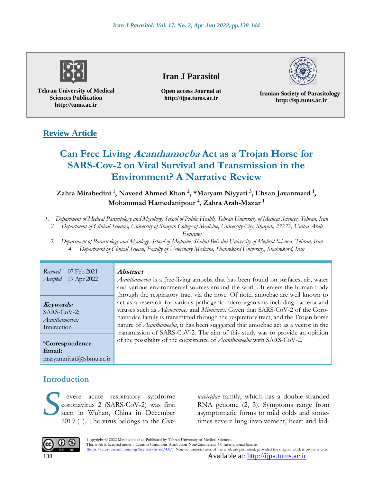

**Tehran University of Medical Sciences Publication http://tums.ac.ir**

# **Iran J Parasitol**

**Open access Journal at http://ijpa.tums.ac.ir**



**Iranian Society of Parasitology http://isp.tums.ac.ir**

# **Review Article**

# **Can Free Living Acanthamoeba Act as a Trojan Horse for SARS-Cov-2 on Viral Survival and Transmission in the Environment? A Narrative Review**

**Zahra Mirabedini <sup>1</sup> , Naveed Ahmed Khan <sup>2</sup> , \*Maryam Niyyati <sup>3</sup> , Ehsan Javanmard <sup>1</sup> , Mohammad Hamedanipour <sup>4</sup> , Zahra Arab-Mazar <sup>1</sup>**

- *1. Department of Medical Parasitology and Mycology, School of Public Health, Tehran University of Medical Sciences, Tehran, Iran*
	- *2. Department of Clinical Sciences, University of Sharjah College of Medicine, University City, Sharjah, 27272, United Arab*

*Emirates*

*3. Department of Parasitology and Mycology, School of Medicine, Shahid Beheshti University of Medical Sciences, Tehran, Iran 4. Department of Clinical Science, Faculty of Veterinary Medicine, Shahrekord University, Shahrekord, Iran*

*Received* 07 Feb 2021 *Accepted* 19 Apr 2022 **Abstract**

**Keywords:** SARS-CoV-2; *Acanthamoeba;* Interaction

**\*Correspondence Email:** [maryamniyati@sbmu.ac.ir](mailto:maryamniyati@sbmu.ac.ir)

*Acanthamoeba* is a free-living amoeba that has been found on surfaces, air, water and various environmental sources around the world. It enters the human body through the respiratory tract via the nose. Of note, amoebae are well known to act as a reservoir for various pathogenic microorganisms including bacteria and viruses such as *Adenoviruses* and *Mimivirus*. Given that SARS-CoV-2 of the Coronaviridae family is transmitted through the respiratory tract, and the Trojan horse nature of *Acanthamoeba*, it has been suggested that amoebae act as a vector in the transmission of SARS-CoV-2. The aim of this study was to provide an opinion of the possibility of the coexistence of *Acanthamoeba* with SARS-CoV-2.

# **Introduction**

evere acute respiratory syndrome coronavirus 2 (SARS-CoV-2) was first seen in Wuhan, China in December 2019 (1). The virus belongs to the *Coro*evere acute respiratory syndrome *naviridae* family, which has a double-stranded coronavirus 2 (SARS-CoV-2) was first RNA genome (2, 3). Symptoms range from seen in Wuhan, China in December asymptomatic forms to mild colds

*naviridae* family, which has a double-stranded RNA genome (2, 3). Symptoms range from times severe lung involvement, heart and kid-



 Copyright © 2022 Mirabedini et al. Published by Tehran University of Medical Sciences. This work is licensed under a Creative Commons Attribution-NonCommercial 4.0 International license. (https://creativecommons.org/licenses/by-nc/4.0/). Non-commercial uses of the work are permitted, provided the original work is properly cited

138 Available at: [http://ijpa.tums.ac.ir](http://ijpa.tums.ac.ir/)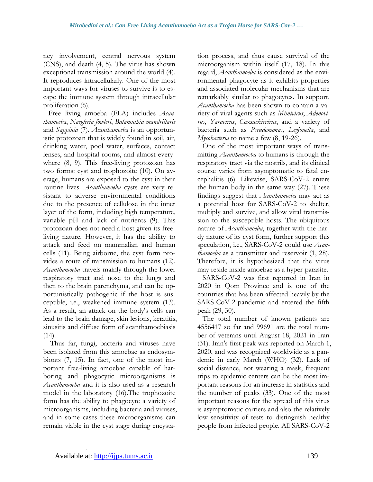ney involvement, central nervous system (CNS), and death (4, 5). The virus has shown exceptional transmission around the world (4). It reproduces intracellularly. One of the most important ways for viruses to survive is to escape the immune system through intracellular proliferation (6).

Free living amoeba (FLA) includes *Acanthamoeba*, *Naegleria fowleri*, *Balamuthia mandrillaris* and *Sappinia* (7). *Acanthamoeba* is an opportunistic protozoan that is widely found in soil, air, drinking water, pool water, surfaces, contact lenses, and hospital rooms, and almost everywhere (8, 9). This free-living protozoan has two forms: cyst and trophozoite (10). On average, humans are exposed to the cyst in their routine lives. *Acanthamoeba* cysts are very resistant to adverse environmental conditions due to the presence of cellulose in the inner layer of the form, including high temperature, variable pH and lack of nutrients (9). This protozoan does not need a host given its freeliving nature. However, it has the ability to attack and feed on mammalian and human cells (11). Being airborne, the cyst form provides a route of transmission to humans (12). *Acanthamoeba* travels mainly through the lower respiratory tract and nose to the lungs and then to the brain parenchyma, and can be opportunistically pathogenic if the host is susceptible, i.e., weakened immune system (13). As a result, an attack on the body's cells can lead to the brain damage, skin lesions, keratitis, sinusitis and diffuse form of acanthamoebiasis  $(14)$ .

Thus far, fungi, bacteria and viruses have been isolated from this amoebae as endosymbionts (7, 15). In fact, one of the most important free-living amoebae capable of harboring and phagocytic microorganisms is *Acanthamoeba* and it is also used as a research model in the laboratory (16).The trophozoite form has the ability to phagocyte a variety of microorganisms, including bacteria and viruses, and in some cases these microorganisms can remain viable in the cyst stage during encystation process, and thus cause survival of the microorganism within itself (17, 18). In this regard, *Acanthamoeba* is considered as the environmental phagocyte as it exhibits properties and associated molecular mechanisms that are remarkably similar to phagocytes. In support, *Acanthamoeba* has been shown to contain a variety of viral agents such as *Mimivirus*, *Adenovirus*, *Yaravirus*, *Coxsackievirus*, and a variety of bacteria such as *Pseudomonas*, *Legionella*, and *Mycobacteria* to name a few (8, 19-26).

One of the most important ways of transmitting *Acanthamoeba* to humans is through the respiratory tract via the nostrils, and its clinical course varies from asymptomatic to fatal encephalitis (6). Likewise, SARS-CoV-2 enters the human body in the same way (27). These findings suggest that *Acanthamoeba* may act as a potential host for SARS-CoV-2 to shelter, multiply and survive, and allow viral transmission to the susceptible hosts. The ubiquitous nature of *Acanthamoeba*, together with the hardy nature of its cyst form, further support this speculation, i.e., SARS-CoV-2 could use *Acanthamoeba* as a transmitter and reservoir (1, 28). Therefore, it is hypothesized that the virus may reside inside amoebae as a hyper-parasite.

SARS-CoV-2 was first reported in Iran in 2020 in Qom Province and is one of the countries that has been affected heavily by the SARS-CoV-2 pandemic and entered the fifth peak (29, 30).

The total number of known patients are 4556417 so far and 99691 are the total number of veterans until August 18, 2021 in Iran (31). Iran's first peak was reported on March 1, 2020, and was recognized worldwide as a pandemic in early March (WHO) (32). Lack of social distance, not wearing a mask, frequent trips to epidemic centers can be the most important reasons for an increase in statistics and the number of peaks (33). One of the most important reasons for the spread of this virus is asymptomatic carriers and also the relatively low sensitivity of tests to distinguish healthy people from infected people. All SARS-CoV-2

.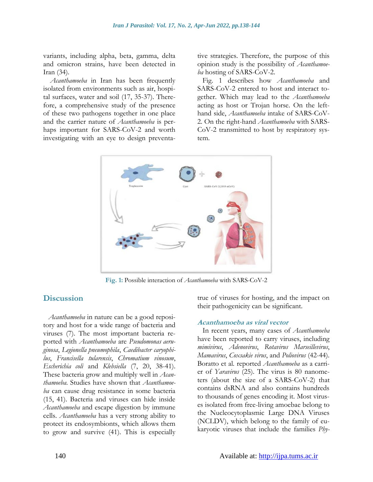variants, including alpha, beta, gamma, delta and omicron strains, have been detected in Iran (34).

*Acanthamoeba* in Iran has been frequently isolated from environments such as air, hospital surfaces, water and soil (17, 35-37). Therefore, a comprehensive study of the presence of these two pathogens together in one place and the carrier nature of *Acanthamoeba* is perhaps important for SARS-CoV-2 and worth investigating with an eye to design preventative strategies. Therefore, the purpose of this opinion study is the possibility of *Acanthamoeba* hosting of SARS-CoV-2.

Fig. 1 describes how *Acanthamoeba* and SARS-CoV-2 entered to host and interact together. Which may lead to the *Acanthamoeba* acting as host or Trojan horse. On the lefthand side, *Acanthamoeba* intake of SARS-CoV-2. On the right-hand *Acanthamoeba* with SARS-CoV-2 transmitted to host by respiratory system.



**Fig. 1:** Possible interaction of *Acanthamoeba* with SARS-CoV-2

# **Discussion**

*Acanthamoeba* in nature can be a good repository and host for a wide range of bacteria and viruses (7). The most important bacteria reported with *Acanthamoeba* are *Pseudomonas aeruginosa*, *Legionella pneumophila*, *Caedibacter caryophilus*, *Francisella tularensis*, *Chromatium vinosum*, *Escherichia coli* and *Klebsiella* (7, 20, 38-41). These bacteria grow and multiply well in *Acanthamoeba*. Studies have shown that *Acanthamoeba* can cause drug resistance in some bacteria (15, 41). Bacteria and viruses can hide inside *Acanthamoeba* and escape digestion by immune cells. *Acanthamoeba* has a very strong ability to protect its endosymbionts, which allows them to grow and survive (41). This is especially true of viruses for hosting, and the impact on their pathogenicity can be significant.

#### **Acanthamoeba as viral vector**

In recent years, many cases of *Acanthamoeba* have been reported to carry viruses, including *mimivirus*, *Adenovirus*, *Rotavirus Marseillevirus*, *Mamavirus*, *Coxsakie virus*, and *Poliovirus* (42-44). Boratto et al*.* reported *Acanthamoeba* as a carrier of *Yaravirus* (25). The virus is 80 nanometers (about the size of a SARS-CoV-2) that contains dsRNA and also contains hundreds to thousands of genes encoding it. Most viruses isolated from free-living amoebae belong to the Nucleocytoplasmic Large DNA Viruses (NCLDV), which belong to the family of eukaryotic viruses that include the families *Phy-*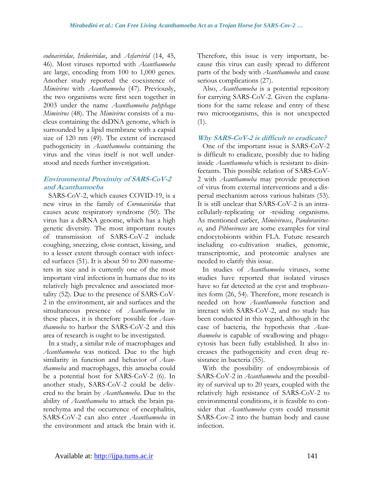*codnaviridae, Iridoviridae*, and *Asfarvirid* (14, 45, 46). Most viruses reported with *Acanthamoeba* are large, encoding from 100 to 1,000 genes. Another study reported the coexistence of *Mimivirus* with *Acanthamoeba* (47). Previously, the two organisms were first seen together in 2003 under the name *Acanthamoeba polyphaga Mimivirus* (48). The *Mimivirus* consists of a nucleus containing the dsDNA genome, which is surrounded by a lipid membrane with a capsid size of 120 nm (49). The extent of increased pathogenicity in *Acanthamoeba* containing the virus and the virus itself is not well understood and needs further investigation.

## **Environmental Proximity of SARS-CoV-2 and Acanthamoeba**

SARS-CoV-2, which causes COVID-19, is a new virus in the family of *Coronaviridae* that causes acute respiratory syndrome (50). The virus has a dsRNA genome, which has a high genetic diversity. The most important routes of transmission of SARS-CoV-2 include coughing, sneezing, close contact, kissing, and to a lesser extent through contact with infected surfaces (51). It is about 50 to 200 nanometers in size and is currently one of the most important viral infections in humans due to its relatively high prevalence and associated mortality (52). Due to the presence of SARS-CoV-2 in the environment, air and surfaces and the simultaneous presence of *Acanthamoeba* in these places, it is therefore possible for *Acanthamoeba* to harbor the SARS-CoV-2 and this area of research is ought to be investigated.

In a study, a similar role of macrophages and *Acanthamoeba* was noticed. Due to the high similarity in function and behavior of *Acanthamoeba* and macrophages, this amoeba could be a potential host for SARS-CoV-2 (6). In another study, SARS-CoV-2 could be delivered to the brain by *Acanthamoeba*. Due to the ability of *Acanthamoeba* to attack the brain parenchyma and the occurrence of encephalitis, SARS-CoV-2 can also enter *Acanthamoeba* in the environment and attack the brain with it. Therefore, this issue is very important, because this virus can easily spread to different parts of the body with *Acanthamoeba* and cause serious complications (27).

Also, *Acanthamoeba* is a potential repository for carrying SARS-CoV-2. Given the explanations for the same release and entry of these two microorganisms, this is not unexpected (1).

#### **Why SARS-CoV-2 is difficult to eradicate?**

One of the important issue is SARS-CoV-2 is difficult to eradicate, possibly due to hiding inside *Acanthamoeba* which is resistant to disinfectants. This possible relation of SARS-CoV-2 with *Acanthamoeba* may provide protection of virus from external interventions and a dispersal mechanism across various habitats (53). It is still unclear that SARS-CoV-2 is an intracellularly-replicating or -residing organisms. As mentioned earlier, *Mimiviruses*, *Pandoraviruses*, and *Pithoviruses* are some examples for viral endocytobionts within FLA. Future research including co-cultivation studies, genomic, transcriptomic, and proteomic analyses are needed to clarify this issue.

In studies of *Acanthamoeba* viruses, some studies have reported that isolated viruses have so far detected at the cyst and trophozoites form (26, 54). Therefore, more research is needed on how *Acanthamoeba* function and interact with SARS-CoV-2, and no study has been conducted in this regard, although in the case of bacteria, the hypothesis that *Acanthamoeba* is capable of swallowing and phagocytosis has been fully established. It also increases the pathogenicity and even drug resistance in bacteria (55).

With the possibility of endosymbiosis of SARS-CoV-2 in *Acanthamoeba* and the possibility of survival up to 20 years, coupled with the relatively high resistance of SARS-CoV-2 to environmental conditions, it is feasible to consider that *Acanthamoeba* cysts could transmit SARS-Cov-2 into the human body and cause infection.

.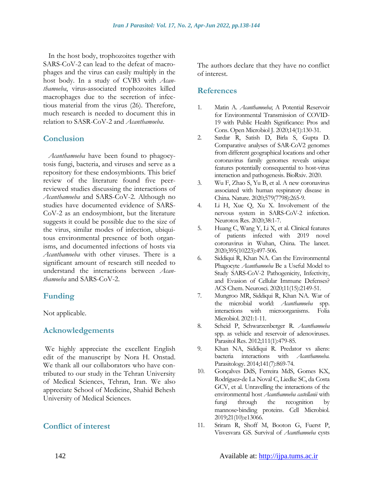In the host body, trophozoites together with SARS-CoV-2 can lead to the defeat of macrophages and the virus can easily multiply in the host body. In a study of CVB3 with *Acanthamoeba*, virus-associated trophozoites killed macrophages due to the secretion of infectious material from the virus (26). Therefore, much research is needed to document this in relation to SASR-CoV-2 and *Acanthamoeba*.

# **Conclusion**

*Acanthamoeba* have been found to phagocytosis fungi, bacteria, and viruses and serve as a repository for these endosymbionts. This brief review of the literature found five peerreviewed studies discussing the interactions of *Acanthamoeba* and SARS-CoV-2. Although no studies have documented evidence of SARS-CoV-2 as an endosymbiont, but the literature suggests it could be possible due to the size of the virus, similar modes of infection, ubiquitous environmental presence of both organisms, and documented infections of hosts via *Acanthamoeba* with other viruses. There is a significant amount of research still needed to understand the interactions between *Acanthamoeba* and SARS-CoV-2.

# **Funding**

Not applicable.

# **Acknowledgements**

We highly appreciate the excellent English edit of the manuscript by Nora H. Onstad. We thank all our collaborators who have contributed to our study in the Tehran University of Medical Sciences, Tehran, Iran. We also appreciate School of Medicine, Shahid Behesh University of Medical Sciences.

# **Conflict of interest**

The authors declare that they have no conflict of interest.

### **References**

- 1. Matin A. *Acanthamoeba*; A Potential Reservoir for Environmental Transmission of COVID-19 with Public Health Significance: Pros and Cons. Open Microbiol J. 2020;14(1):130-31.
- 2. Sardar R, Satish D, Birla S, Gupta D. Comparative analyses of SAR-CoV2 genomes from different geographical locations and other coronavirus family genomes reveals unique features potentially consequential to host-virus interaction and pathogenesis. BioRxiv. 2020.
- 3. Wu F, Zhao S, Yu B, et al. A new coronavirus associated with human respiratory disease in China. Nature. 2020;579(7798):265-9.
- 4. Li H, Xue Q, Xu X. Involvement of the nervous system in SARS-CoV-2 infection. Neurotox Res. 2020;38:1-7.
- 5. Huang C, Wang Y, Li X, et al. Clinical features of patients infected with 2019 novel coronavirus in Wuhan, China. The lancet. 2020;395(10223):497-506.
- 6. Siddiqui R, Khan NA. Can the Environmental Phagocyte *Acanthamoeba* Be a Useful Model to Study SARS-CoV-2 Pathogenicity, Infectivity, and Evasion of Cellular Immune Defenses? ACS Chem. Neurosci. 2020;11(15):2149-51.
- 7. Mungroo MR, Siddiqui R, Khan NA. War of the microbial world: *Acanthamoeba* spp. interactions with microorganisms. Folia Microbiol. 2021:1-11.
- 8. Scheid P, Schwarzenberger R. *Acanthamoeba* spp. as vehicle and reservoir of adenoviruses. Parasitol Res. 2012;111(1):479-85.
- 9. Khan NA, Siddiqui R. Predator vs aliens: bacteria interactions with *Acanthamoeba*. Parasitology. 2014;141(7):869-74.
- 10. Gonçalves DdS, Ferreira MdS, Gomes KX, Rodríguez‐de La Noval C, Liedke SC, da Costa GCV, et al. Unravelling the interactions of the environmental host *Acanthamoeba castellanii* with fungi through the recognition by mannose‐binding proteins. Cell Microbiol. 2019;21(10):e13066.
- 11. Sriram R, Shoff M, Booton G, Fuerst P, Visvesvara GS. Survival of *Acanthamoeba* cysts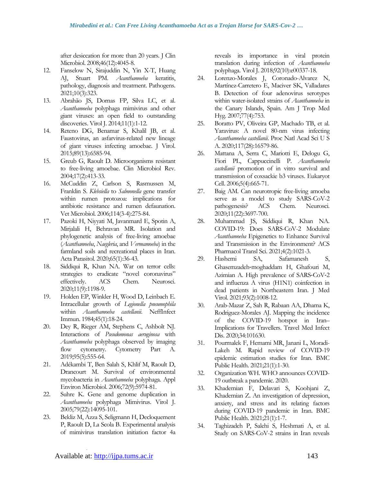after desiccation for more than 20 years. J Clin Microbiol. 2008;46(12):4045-8.

- 12. Fanselow N, Sirajuddin N, Yin X-T, Huang AJ, Stuart PM. *Acanthamoeba* keratitis, pathology, diagnosis and treatment. Pathogens. 2021;10(3):323.
- 13. Abrahão JS, Dornas FP, Silva LC, et al. *Acanthamoeba* polyphaga mimivirus and other giant viruses: an open field to outstanding discoveries. Virol J. 2014;11(1):1-12.
- 14. Reteno DG, Benamar S, Khalil JB, et al. Faustovirus, an asfarvirus-related new lineage of giant viruses infecting amoebae. J Virol. 2015;89(13):6585-94.
- 15. Greub G, Raoult D. Microorganisms resistant to free-living amoebae. Clin Microbiol Rev. 2004;17(2):413-33.
- 16. McCuddin Z, Carlson S, Rasmussen M, Franklin S. *Klebsiella* to *Salmonella* gene transfer within rumen protozoa: implications for antibiotic resistance and rumen defaunation. Vet Microbiol. 2006;114(3-4):275-84.
- 17. Pazoki H, Niyyati M, Javanmard E, Spotin A, Mirjalali H, Behravan MR. Isolation and phylogenetic analysis of free-living amoebae (*Acanthamoeba*, *Naegleria*, and *Vermamoeba*) in the farmland soils and recreational places in Iran. Acta Parasitol. 2020;65(1):36-43.
- 18. Siddiqui R, Khan NA. War on terror cells: strategies to eradicate "novel coronavirus" effectively. ACS Chem. Neurosci. 2020;11(9):1198-9.
- 19. Holden EP, Winkler H, Wood D, Leinbach E. Intracellular growth of *Legionella pneumophila* within *Acanthamoeba castellanii*. NeffInfect Immun. 1984;45(1):18-24.
- 20. Dey R, Rieger AM, Stephens C, Ashbolt NJ. Interactions of *Pseudomonas aeruginosa* with *Acanthamoeba* polyphaga observed by imaging flow cytometry. Cytometry Part A. 2019;95(5):555-64.
- 21. Adékambi T, Ben Salah S, Khlif M, Raoult D, Drancourt M. Survival of environmental mycobacteria in *Acanthamoeba* polyphaga. Appl Environ Microbiol. 2006;72(9):5974-81.
- 22. Suhre K. Gene and genome duplication in *Acanthamoeba* polyphaga Mimivirus. Virol J. 2005;79(22):14095-101.
- 23. Bekliz M, Azza S, Seligmann H, Decloquement P, Raoult D, La Scola B. Experimental analysis of mimivirus translation initiation factor 4a

reveals its importance in viral protein translation during infection of *Acanthamoeba* polyphaga. Virol J. 2018;92(10):e00337-18.

- 24. Lorenzo-Morales J, Coronado-Alvarez N, Martínez-Carretero E, Maciver SK, Valladares B. Detection of four adenovirus serotypes within water-isolated strains of *Acanthamoeba* in the Canary Islands, Spain. Am J Trop Med Hyg. 2007;77(4):753.
- 25. Boratto PV, Oliveira GP, Machado TB, et al. Yaravirus: A novel 80-nm virus infecting *Acanthamoeba castellanii*. Proc Natl Acad Sci U S A. 2020;117(28):16579-86.
- 26. Mattana A, Serra C, Mariotti E, Delogu G, Fiori PL, Cappuccinelli P. *Acanthamoeba castellanii* promotion of in vitro survival and transmission of coxsackie b3 viruses. Eukaryot Cell. 2006;5(4):665-71.
- 27. Baig AM. Can neurotropic free-living amoeba serve as a model to study SARS-CoV-2 pathogenesis? ACS Chem. Neurosci. 2020;11(22):3697-700.
- 28. Muhammad JS, Siddiqui R, Khan NA. COVID-19: Does SARS-CoV-2 Modulate *Acanthamoeba* Epigenetics to Enhance Survival and Transmission in the Environment? ACS Pharmacol Transl Sci. 2021;4(2):1021-3.
- 29. Hashemi SA, Safamanesh S, Ghasemzadeh‐moghaddam H, Ghafouri M, Azimian A. High prevalence of SARS‐CoV‐2 and influenza A virus (H1N1) coinfection in dead patients in Northeastern Iran. J Med Virol. 2021;93(2):1008-12.
- 30. Arab-Mazar Z, Sah R, Rabaan AA, Dhama K, Rodriguez-Morales AJ. Mapping the incidence of the COVID-19 hotspot in Iran– Implications for Travellers. Travel Med Infect Dis. 2020;34:101630.
- 31. Pourmalek F, Hemami MR, Janani L, Moradi-Lakeh M. Rapid review of COVID-19 epidemic estimation studies for Iran. BMC Public Health. 2021;21(1):1-30.
- 32. Organization WH. WHO announces COVID-19 outbreak a pandemic. 2020.
- 33. Khademian F, Delavari S, Koohjani Z, Khademian Z. An investigation of depression, anxiety, and stress and its relating factors during COVID-19 pandemic in Iran. BMC Public Health. 2021;21(1):1-7.
- 34. Taghizadeh P, Salehi S, Heshmati A, et al. Study on SARS-CoV-2 strains in Iran reveals

.